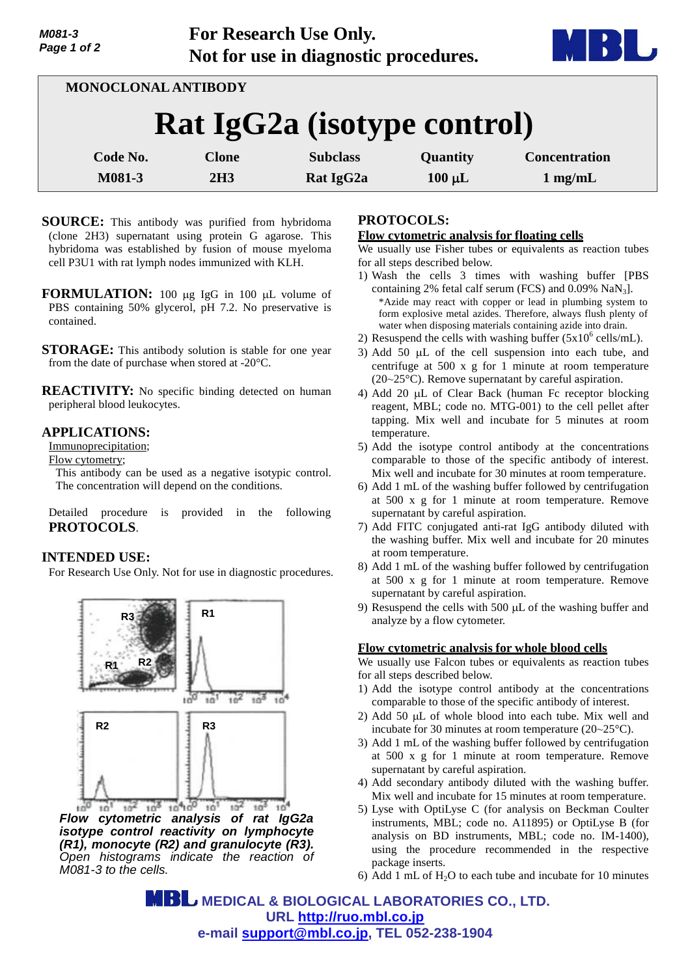**For Research Use Only. Not for use in diagnostic procedures.**



| MONOCLONAL ANTIBODY         |              |                 |             |                      |  |
|-----------------------------|--------------|-----------------|-------------|----------------------|--|
| Rat IgG2a (isotype control) |              |                 |             |                      |  |
| <b>Code No.</b>             | <b>Clone</b> | <b>Subclass</b> | Quantity    | <b>Concentration</b> |  |
| M081-3                      | 2H3          | Rat IgG2a       | $100 \mu L$ | $1$ mg/mL            |  |

- **SOURCE:** This antibody was purified from hybridoma (clone 2H3) supernatant using protein G agarose. This hybridoma was established by fusion of mouse myeloma cell P3U1 with rat lymph nodes immunized with KLH.
- **FORMULATION:** 100 µg IgG in 100 µL volume of PBS containing 50% glycerol, pH 7.2. No preservative is contained.
- **STORAGE:** This antibody solution is stable for one year from the date of purchase when stored at -20°C.

**REACTIVITY:** No specific binding detected on human peripheral blood leukocytes.

## **APPLICATIONS:**

Immunoprecipitation;

Flow cytometry;

This antibody can be used as a negative isotypic control. The concentration will depend on the conditions.

Detailed procedure is provided in the following **PROTOCOLS**.

# **INTENDED USE:**

For Research Use Only. Not for use in diagnostic procedures.



*Flow cytometric analysis of rat IgG2a isotype control reactivity on lymphocyte (R1), monocyte (R2) and granulocyte (R3). Open histograms indicate the reaction of M081-3 to the cells.*

## **PROTOCOLS:**

#### **Flow cytometric analysis for floating cells**

We usually use Fisher tubes or equivalents as reaction tubes for all steps described below.

- 1) Wash the cells 3 times with washing buffer [PBS containing 2% fetal calf serum (FCS) and  $0.09\%$  NaN<sub>3</sub>]. \*Azide may react with copper or lead in plumbing system to form explosive metal azides. Therefore, always flush plenty of water when disposing materials containing azide into drain.
- 2) Resuspend the cells with washing buffer  $(5x10^6 \text{ cells/mL})$ .
- 3) Add 50  $\mu$ L of the cell suspension into each tube, and centrifuge at 500 x g for 1 minute at room temperature (20~25°C). Remove supernatant by careful aspiration.
- 4) Add 20 µL of Clear Back (human Fc receptor blocking reagent, MBL; code no. MTG-001) to the cell pellet after tapping. Mix well and incubate for 5 minutes at room temperature.
- 5) Add the isotype control antibody at the concentrations comparable to those of the specific antibody of interest. Mix well and incubate for 30 minutes at room temperature.
- 6) Add 1 mL of the washing buffer followed by centrifugation at 500 x g for 1 minute at room temperature. Remove supernatant by careful aspiration.
- 7) Add FITC conjugated anti-rat IgG antibody diluted with the washing buffer. Mix well and incubate for 20 minutes at room temperature.
- 8) Add 1 mL of the washing buffer followed by centrifugation at 500 x g for 1 minute at room temperature. Remove supernatant by careful aspiration.
- 9) Resuspend the cells with  $500 \mu L$  of the washing buffer and analyze by a flow cytometer.

#### **Flow cytometric analysis for whole blood cells**

We usually use Falcon tubes or equivalents as reaction tubes for all steps described below.

- 1) Add the isotype control antibody at the concentrations comparable to those of the specific antibody of interest.
- 2) Add 50  $\mu$ L of whole blood into each tube. Mix well and incubate for 30 minutes at room temperature (20~25°C).
- 3) Add 1 mL of the washing buffer followed by centrifugation at 500 x g for 1 minute at room temperature. Remove supernatant by careful aspiration.
- 4) Add secondary antibody diluted with the washing buffer. Mix well and incubate for 15 minutes at room temperature.
- 5) Lyse with OptiLyse C (for analysis on Beckman Coulter instruments, MBL; code no. A11895) or OptiLyse B (for analysis on BD instruments, MBL; code no. IM-1400), using the procedure recommended in the respective package inserts.
- 6) Add 1 mL of  $H<sub>2</sub>O$  to each tube and incubate for 10 minutes

**MBL** MEDICAL & BIOLOGICAL LABORATORIES CO., LTD. **URL <http://ruo.mbl.co.jp> e-mail [support@mbl.co.jp,](mailto:support@mbl.co.jp) TEL 052-238-1904**